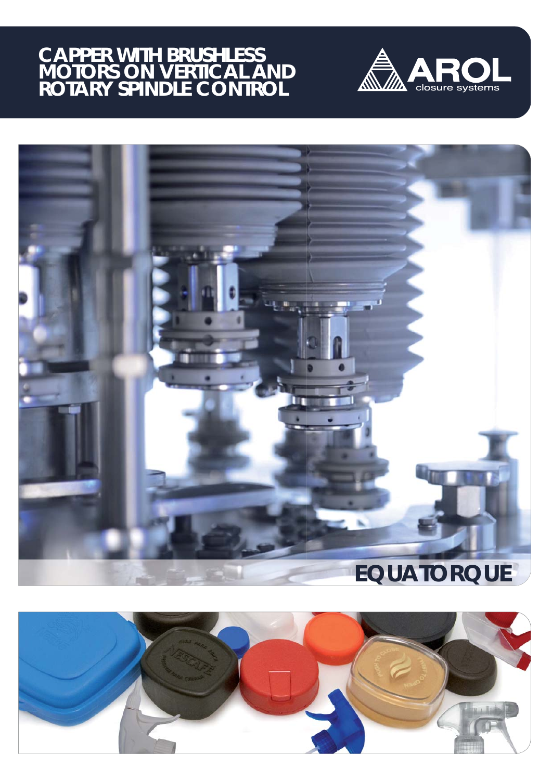# **CAPPER WITH BRUSHLESS MOTORS ON VERTICAL AND ROTARY SPINDLE CONTROL**





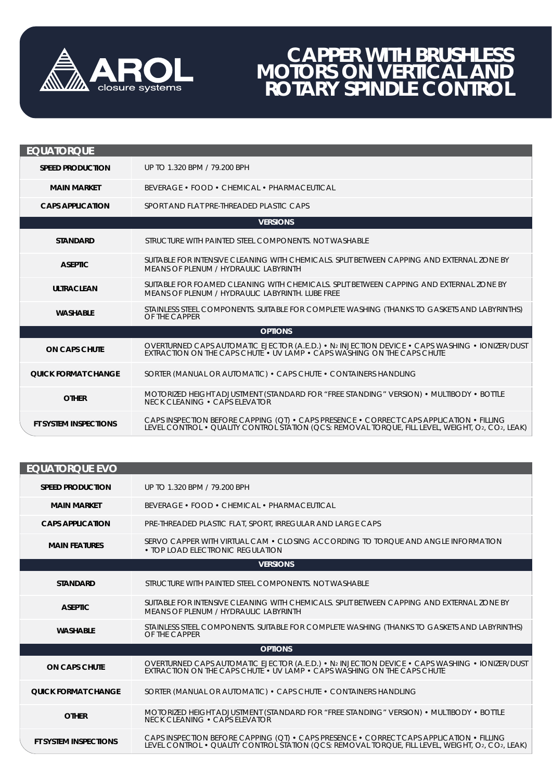

## **CAPPER WITH BRUSHLESS MOTORS ON VERTICAL AND ROTARY SPINDLE CONTROL**

| <b>EQUATORQUE</b>          |                                                                                                                                                                                              |  |
|----------------------------|----------------------------------------------------------------------------------------------------------------------------------------------------------------------------------------------|--|
| <b>SPEED PRODUCTION</b>    | UP TO 1.320 BPM / 79.200 BPH                                                                                                                                                                 |  |
| <b>MAIN MARKET</b>         | BEVERAGE • FOOD • CHEMICAL • PHARMACEUTICAL                                                                                                                                                  |  |
| <b>CAPS APPLICATION</b>    | SPORT AND FLAT PRE-THREADED PLASTIC CAPS                                                                                                                                                     |  |
|                            | <b>VERSIONS</b>                                                                                                                                                                              |  |
| <b>STANDARD</b>            | STRUCTURE WITH PAINTED STEEL COMPONENTS. NOT WASHABLE                                                                                                                                        |  |
| <b>ASEPTIC</b>             | SUITABLE FOR INTENSIVE CLEANING WITH CHEMICALS. SPLIT BETWEEN CAPPING AND EXTERNAL ZONE BY<br>MEANS OF PLENUM / HYDRAULIC LABYRINTH                                                          |  |
| <b>ULTRACLEAN</b>          | SUITABLE FOR FOAMED CLEANING WITH CHEMICALS. SPLIT BETWEEN CAPPING AND EXTERNAL ZONE BY<br>MEANS OF PLENUM / HYDRAULIC LABYRINTH. LUBE FREE                                                  |  |
| <b>WASHABLE</b>            | STAINLESS STEEL COMPONENTS. SUITABLE FOR COMPLETE WASHING (THANKS TO GASKETS AND LABYRINTHS)<br>OF THE CAPPER                                                                                |  |
| <b>OPTIONS</b>             |                                                                                                                                                                                              |  |
| <b>ON CAPS CHUTE</b>       | OVERTURNED CAPS AUTOMATIC EJECTOR (A.E.D.) • N2 INJECTION DEVICE • CAPS WASHING • IONIZER/DUST<br><b>EXTRACTION ON THE CAPS CHUTE • UV LAMP • CAPS WASHING ON THE CAPS CHUTE</b>             |  |
| <b>QUICK FORMAT CHANGE</b> | SORTER (MANUAL OR AUTOMATIC) • CAPS CHUTE • CONTAINERS HANDLING                                                                                                                              |  |
| <b>OTHER</b>               | MOTORIZED HEIGHT ADJUSTMENT (STANDARD FOR "FREE STANDING" VERSION) • MULTIBODY • BOTTLE<br>NECK CLEANING • CAPS ELEVATOR                                                                     |  |
| FT SYSTEM INSPECTIONS      | CAPS INSPECTION BEFORE CAPPING (QT) • CAPS PRESENCE • CORRECT CAPS APPLICATION • FILLING<br>LEVEL CONTROL • QUALITY CONTROL STATION (QCS: REMOVAL TORQUE, FILL LEVEL, WEIGHT, O2, CO2, LEAK) |  |

| <b>EQUATORQUE EVO</b>        |                                                                                                                                                                                              |  |
|------------------------------|----------------------------------------------------------------------------------------------------------------------------------------------------------------------------------------------|--|
| <b>SPEED PRODUCTION</b>      | UP TO 1.320 BPM / 79.200 BPH                                                                                                                                                                 |  |
| <b>MAIN MARKET</b>           | <b>BEVERAGE • FOOD • CHEMICAL • PHARMACEUTICAL</b>                                                                                                                                           |  |
| <b>CAPS APPLICATION</b>      | PRE-THREADED PLASTIC FLAT, SPORT, IRREGULAR AND LARGE CAPS                                                                                                                                   |  |
| <b>MAIN FEATURES</b>         | SERVO CAPPER WITH VIRTUAL CAM • CLOSING ACCORDING TO TORQUE AND ANGLE INFORMATION<br>• TOP LOAD ELECTRONIC REGULATION                                                                        |  |
|                              | <b>VERSIONS</b>                                                                                                                                                                              |  |
| <b>STANDARD</b>              | STRUCTURE WITH PAINTED STEEL COMPONENTS. NOT WASHABLE                                                                                                                                        |  |
| <b>ASEPTIC</b>               | SUITABLE FOR INTENSIVE CLEANING WITH CHEMICALS. SPLIT BETWEEN CAPPING AND EXTERNAL ZONE BY<br>MEANS OF PLENUM / HYDRAULIC LABYRINTH                                                          |  |
| <b>WASHABLE</b>              | STAINLESS STEEL COMPONENTS. SUITABLE FOR COMPLETE WASHING (THANKS TO GASKETS AND LABYRINTHS)<br>OF THE CAPPER                                                                                |  |
|                              | <b>OPTIONS</b>                                                                                                                                                                               |  |
| <b>ON CAPS CHUTE</b>         | OVERTURNED CAPS AUTOMATIC EJECTOR (A.E.D.) • N2 INJECTION DEVICE • CAPS WASHING • IONIZER/DUST<br>EXTRACTION ON THE CAPS CHUTE • UV LAMP • CAPS WASHING ON THE CAPS CHUTE                    |  |
| <b>QUICK FORMAT CHANGE</b>   | SORTER (MANUAL OR AUTOMATIC) • CAPS CHUTE • CONTAINERS HANDLING                                                                                                                              |  |
| <b>OTHER</b>                 | MOTORIZED HEIGHT ADJUSTMENT (STANDARD FOR "FREE STANDING" VERSION) • MULTIBODY • BOTTLE<br>NECK CLEANING . CAPS ELEVATOR                                                                     |  |
| <b>FT SYSTEM INSPECTIONS</b> | CAPS INSPECTION BEFORE CAPPING (QT) • CAPS PRESENCE • CORRECT CAPS APPLICATION • FILLING<br>LEVEL CONTROL • QUALITY CONTROL STATION (QCS: REMOVAL TORQUE, FILL LEVEL, WEIGHT, O2, CO2, LEAK) |  |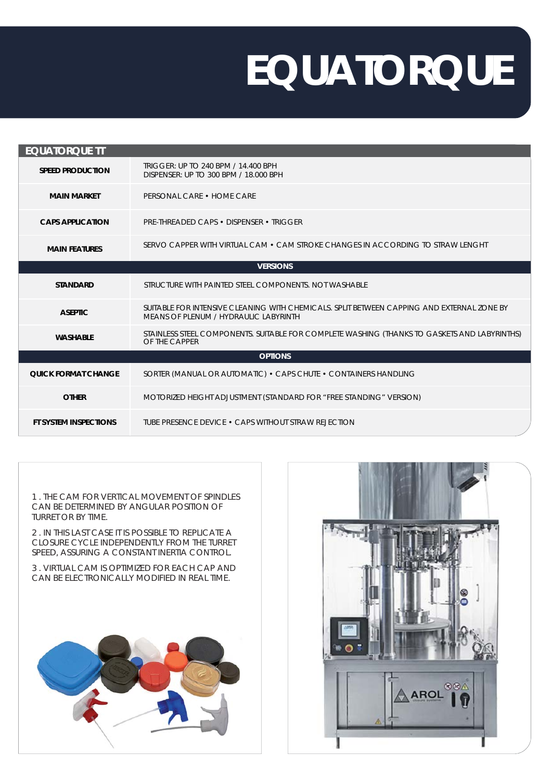# **EQUATORQUE**

| <b>EQUATORQUE TT</b>         |                                                                                                                                     |  |
|------------------------------|-------------------------------------------------------------------------------------------------------------------------------------|--|
| <b>SPEED PRODUCTION</b>      | TRIGGER: UP TO 240 BPM / 14.400 BPH<br>DISPENSER: UP TO 300 BPM / 18,000 BPH                                                        |  |
| <b>MAIN MARKET</b>           | PERSONAL CARE . HOME CARE                                                                                                           |  |
| <b>CAPS APPLICATION</b>      | <b>PRE-THREADED CAPS • DISPENSER • TRIGGER</b>                                                                                      |  |
| <b>MAIN FEATURES</b>         | SERVO CAPPER WITH VIRTUAL CAM • CAM STROKE CHANGES IN ACCORDING TO STRAW LENGHT                                                     |  |
| <b>VERSIONS</b>              |                                                                                                                                     |  |
| <b>STANDARD</b>              | STRUCTURE WITH PAINTED STEEL COMPONENTS. NOT WASHABLE                                                                               |  |
| <b>ASEPTIC</b>               | SUITABLE FOR INTENSIVE CLEANING WITH CHEMICALS. SPLIT BETWEEN CAPPING AND EXTERNAL ZONE BY<br>MEANS OF PLENUM / HYDRAULIC LABYRINTH |  |
| <b>WASHABLE</b>              | STAINLESS STEEL COMPONENTS. SUITABLE FOR COMPLETE WASHING (THANKS TO GASKETS AND LABYRINTHS)<br>OF THE CAPPER                       |  |
|                              | <b>OPTIONS</b>                                                                                                                      |  |
| <b>QUICK FORMAT CHANGE</b>   | SORTER (MANUAL OR AUTOMATIC) • CAPS CHUTE • CONTAINERS HANDLING                                                                     |  |
| <b>OTHER</b>                 | MOTORIZED HEIGHT ADJUSTMENT (STANDARD FOR "FREE STANDING" VERSION)                                                                  |  |
| <b>FT SYSTEM INSPECTIONS</b> | TUBE PRESENCE DEVICE • CAPS WITHOUT STRAW REJECTION                                                                                 |  |

1 . THE CAM FOR VERTICAL MOVEMENT OF SPINDLES CAN BE DETERMINED BY ANGULAR POSITION OF TURRET OR BY TIME.

2 . IN THIS LAST CASE IT IS POSSIBLE TO REPLICATE A CLOSURE CYCLE INDEPENDENTLY FROM THE TURRET SPEED, ASSURING A CONSTANT INERTIA CONTROL.

3 . VIRTUAL CAM IS OPTIMIZED FOR EACH CAP AND CAN BE ELECTRONICALLY MODIFIED IN REAL TIME.